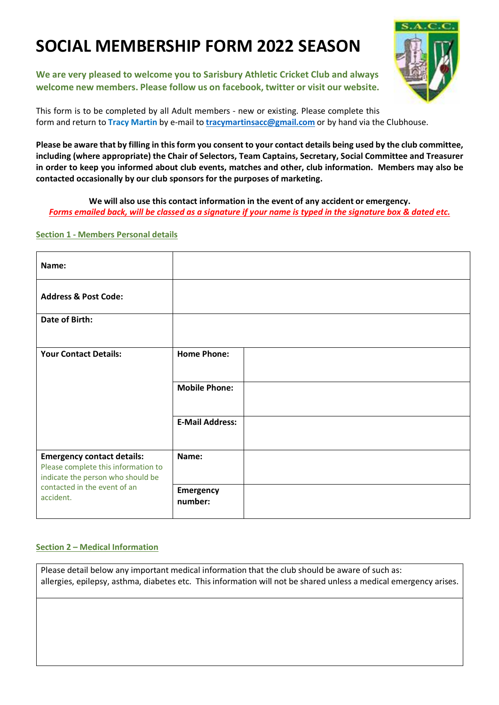# **SOCIAL MEMBERSHIP FORM 2022 SEASON**

**We are very pleased to welcome you to Sarisbury Athletic Cricket Club and always welcome new members. Please follow us on facebook, twitter or visit our website.**

This form is to be completed by all Adult members - new or existing. Please complete this form and return to **Tracy Martin** by e-mail to **tracymartinsacc@gmail.com** or by hand via the Clubhouse.

**Please be aware that by filling in this form you consent to your contact details being used by the club committee, including (where appropriate) the Chair of Selectors, Team Captains, Secretary, Social Committee and Treasurer in order to keep you informed about club events, matches and other, club information. Members may also be contacted occasionally by our club sponsors for the purposes of marketing.**

**We will also use this contact information in the event of any accident or emergency.** *Forms emailed back, will be classed as a signature if your name is typed in the signature box & dated etc.*

### **Section 1 - Members Personal details**

| Name:                                                                                                                                                      |                             |  |
|------------------------------------------------------------------------------------------------------------------------------------------------------------|-----------------------------|--|
| <b>Address &amp; Post Code:</b>                                                                                                                            |                             |  |
| Date of Birth:                                                                                                                                             |                             |  |
| <b>Your Contact Details:</b>                                                                                                                               | <b>Home Phone:</b>          |  |
|                                                                                                                                                            | <b>Mobile Phone:</b>        |  |
|                                                                                                                                                            | <b>E-Mail Address:</b>      |  |
| <b>Emergency contact details:</b><br>Please complete this information to<br>indicate the person who should be<br>contacted in the event of an<br>accident. | Name:                       |  |
|                                                                                                                                                            | <b>Emergency</b><br>number: |  |

#### **Section 2 – Medical Information**

Please detail below any important medical information that the club should be aware of such as: allergies, epilepsy, asthma, diabetes etc. This information will not be shared unless a medical emergency arises.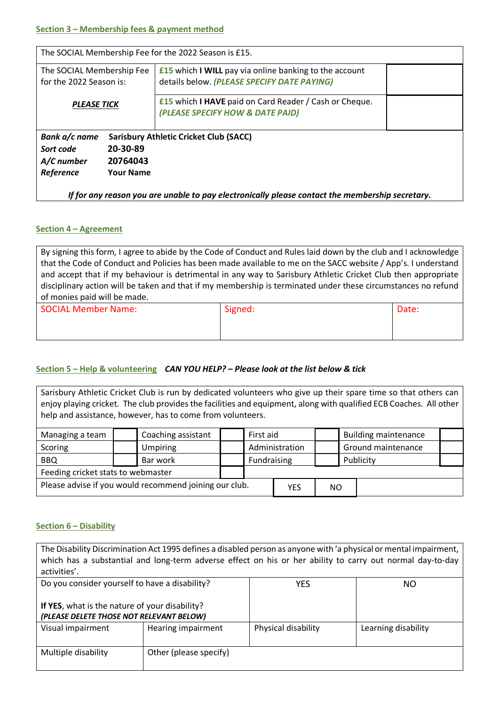| The SOCIAL Membership Fee for the 2022 Season is £15.                                           |                                                                                                              |  |  |
|-------------------------------------------------------------------------------------------------|--------------------------------------------------------------------------------------------------------------|--|--|
| The SOCIAL Membership Fee<br>for the 2022 Season is:                                            | <b>£15</b> which I WILL pay via online banking to the account<br>details below. (PLEASE SPECIFY DATE PAYING) |  |  |
|                                                                                                 | <b>£15</b> which I HAVE paid on Card Reader / Cash or Cheque.                                                |  |  |
| <b>PLEASE TICK</b>                                                                              | (PLEASE SPECIFY HOW & DATE PAID)                                                                             |  |  |
| Bank a/c name                                                                                   | <b>Sarisbury Athletic Cricket Club (SACC)</b>                                                                |  |  |
| 20-30-89<br>Sort code                                                                           |                                                                                                              |  |  |
| 20764043<br>A/C number                                                                          |                                                                                                              |  |  |
| Reference<br><b>Your Name</b>                                                                   |                                                                                                              |  |  |
| If for any reason you are unable to pay electronically please contact the membership secretary. |                                                                                                              |  |  |

#### **Section 4 – Agreement**

By signing this form, I agree to abide by the Code of Conduct and Rules laid down by the club and I acknowledge that the Code of Conduct and Policies has been made available to me on the SACC website / App's. I understand and accept that if my behaviour is detrimental in any way to Sarisbury Athletic Cricket Club then appropriate disciplinary action will be taken and that if my membership is terminated under these circumstances no refund of monies paid will be made.

| SOCIAL Member Name: | Signed: | Date: |
|---------------------|---------|-------|
|                     |         |       |
|                     |         |       |

## **Section 5 – Help & volunteering** *CAN YOU HELP? – Please look at the list below & tick*

Sarisbury Athletic Cricket Club is run by dedicated volunteers who give up their spare time so that others can enjoy playing cricket. The club provides the facilities and equipment, along with qualified ECB Coaches. All other help and assistance, however, has to come from volunteers.

| Managing a team                                        |  | Coaching assistant<br>First aid   |             |            | <b>Building maintenance</b> |                    |  |  |  |
|--------------------------------------------------------|--|-----------------------------------|-------------|------------|-----------------------------|--------------------|--|--|--|
| Scoring                                                |  | Administration<br><b>Umpiring</b> |             |            |                             | Ground maintenance |  |  |  |
| <b>BBQ</b>                                             |  | Bar work                          | Fundraising |            | Publicity                   |                    |  |  |  |
| Feeding cricket stats to webmaster                     |  |                                   |             |            |                             |                    |  |  |  |
| Please advise if you would recommend joining our club. |  |                                   |             | <b>YES</b> | <b>NO</b>                   |                    |  |  |  |

#### **Section 6 – Disability**

| The Disability Discrimination Act 1995 defines a disabled person as anyone with 'a physical or mental impairment,<br>which has a substantial and long-term adverse effect on his or her ability to carry out normal day-to-day<br>activities'. |                        |                     |                     |
|------------------------------------------------------------------------------------------------------------------------------------------------------------------------------------------------------------------------------------------------|------------------------|---------------------|---------------------|
| Do you consider yourself to have a disability?                                                                                                                                                                                                 |                        | <b>YES</b>          | NO.                 |
| If YES, what is the nature of your disability?<br>(PLEASE DELETE THOSE NOT RELEVANT BELOW)                                                                                                                                                     |                        |                     |                     |
| Visual impairment                                                                                                                                                                                                                              | Hearing impairment     | Physical disability | Learning disability |
| Multiple disability                                                                                                                                                                                                                            | Other (please specify) |                     |                     |